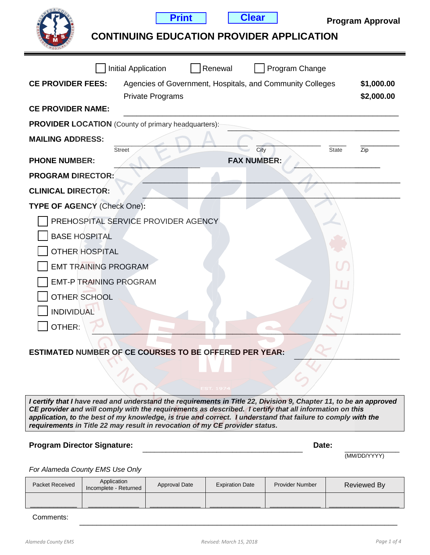

**Print Clear**

# **CONTINUING EDUCATION PROVIDER APPLICATION**

|                                                            | <b>Initial Application</b>          | Renewal | Program Change                                            |       |            |
|------------------------------------------------------------|-------------------------------------|---------|-----------------------------------------------------------|-------|------------|
| <b>CE PROVIDER FEES:</b>                                   |                                     |         | Agencies of Government, Hospitals, and Community Colleges |       | \$1,000.00 |
|                                                            | Private Programs                    |         |                                                           |       | \$2,000.00 |
| <b>CE PROVIDER NAME:</b>                                   |                                     |         |                                                           |       |            |
| <b>PROVIDER LOCATION</b> (County of primary headquarters): |                                     |         |                                                           |       |            |
| <b>MAILING ADDRESS:</b>                                    |                                     |         |                                                           |       |            |
|                                                            | <b>Street</b>                       |         | City                                                      | State | Zip        |
| <b>PHONE NUMBER:</b>                                       |                                     |         | <b>FAX NUMBER:</b>                                        |       |            |
| <b>PROGRAM DIRECTOR:</b>                                   |                                     |         |                                                           |       |            |
| <b>CLINICAL DIRECTOR:</b>                                  |                                     |         |                                                           |       |            |
| TYPE OF AGENCY (Check One):                                |                                     |         |                                                           |       |            |
|                                                            | PREHOSPITAL SERVICE PROVIDER AGENCY |         |                                                           |       |            |
| <b>BASE HOSPITAL</b>                                       |                                     |         |                                                           |       |            |
| <b>OTHER HOSPITAL</b>                                      |                                     |         |                                                           |       |            |
| <b>EMT TRAINING PROGRAM</b>                                |                                     |         |                                                           |       |            |
| <b>EMT-P TRAINING PROGRAM</b>                              |                                     |         |                                                           | Ш     |            |
| <b>OTHER SCHOOL</b>                                        |                                     |         |                                                           |       |            |
| <b>INDIVIDUAL</b>                                          |                                     |         |                                                           |       |            |
| OTHER:                                                     |                                     |         |                                                           |       |            |
|                                                            |                                     |         |                                                           |       |            |

#### ESTIMATED NUMBER OF CE COURSES TO BE OFFERED PER YEAR:

*I certify that I have read and understand the requirements in Title 22, Division 9, Chapter 11, to be an approved CE provider and will comply with the requirements as described. I certify that all information on this application, to the best of my knowledge, is true and correct. I understand that failure to comply with the requirements in Title 22 may result in revocation of my CE provider status.*

#### Program Director Signature: **Example 2018** 2019 2019 2021 2022 2023

(MM/DD/YYYY)

*For Alameda County EMS Use Only*

| Packet Received | Application<br>Incomplete - Returned | Approval Date | <b>Expiration Date</b> | <b>Provider Number</b> | Reviewed By |
|-----------------|--------------------------------------|---------------|------------------------|------------------------|-------------|
|                 |                                      |               |                        |                        |             |

Comments: \_\_\_\_\_\_\_\_\_\_\_\_\_\_\_\_\_\_\_\_\_\_\_\_\_\_\_\_\_\_\_\_\_\_\_\_\_\_\_\_\_\_\_\_\_\_\_\_\_\_\_\_\_\_\_\_\_\_\_\_\_\_\_\_\_\_\_\_\_\_\_\_\_\_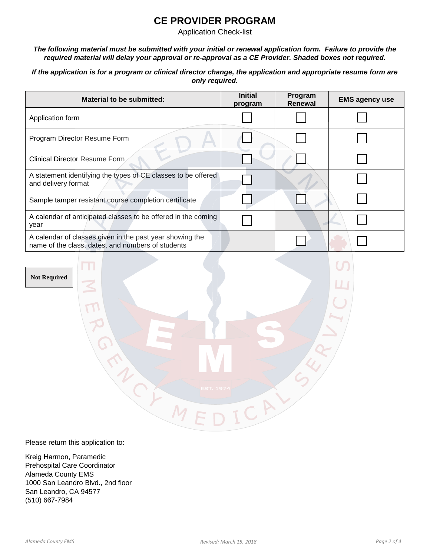## **CE PROVIDER PROGRAM**

Application Check-list

*The following material must be submitted with your initial or renewal application form. Failure to provide the required material will delay your approval or re-approval as a CE Provider. Shaded boxes not required.* 

*If the application is for a program or clinical director change, the application and appropriate resume form are only required.*

| Material to be submitted:                                                                                     | <b>Initial</b><br>program | Program<br><b>Renewal</b> | <b>EMS agency use</b> |
|---------------------------------------------------------------------------------------------------------------|---------------------------|---------------------------|-----------------------|
| Application form                                                                                              |                           |                           |                       |
| Program Director Resume Form                                                                                  |                           |                           |                       |
| Clinical Director Resume Form                                                                                 |                           |                           |                       |
| A statement identifying the types of CE classes to be offered<br>and delivery format                          |                           |                           |                       |
| Sample tamper resistant course completion certificate                                                         |                           |                           |                       |
| A calendar of anticipated classes to be offered in the coming<br>year                                         |                           |                           |                       |
| A calendar of classes given in the past year showing the<br>name of the class, dates, and numbers of students |                           |                           |                       |

**Not Required**

Please return this application to:

G

M ACK M

Kreig Harmon, Paramedic Prehospital Care Coordinator Alameda County EMS 1000 San Leandro Blvd., 2nd floor San Leandro, CA 94577 (510) 667-7984

N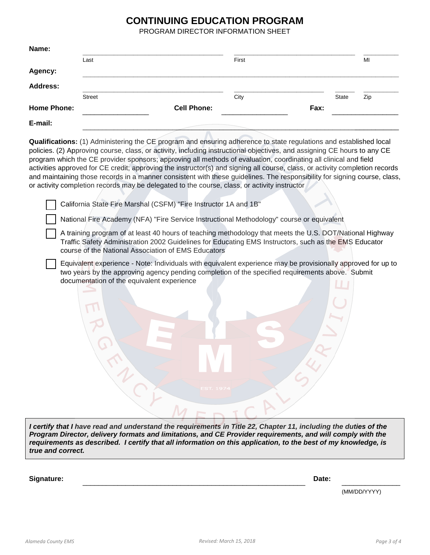#### **CONTINUING EDUCATION PROGRAM**

PROGRAM DIRECTOR INFORMATION SHEET

| Last          |                    | First |      |       | MI  |
|---------------|--------------------|-------|------|-------|-----|
|               |                    |       |      |       |     |
|               |                    |       |      |       |     |
| <b>Street</b> |                    | City  |      | State | Zip |
|               | <b>Cell Phone:</b> |       | Fax: |       |     |
|               |                    |       |      |       |     |
|               |                    |       |      |       |     |

**Qualifications:** (1) Administering the CE program and ensuring adherence to state regulations and established local policies. (2) Approving course, class, or activity, including instructional objectives, and assigning CE hours to any CE program which the CE provider sponsors; approving all methods of evaluation, coordinating all clinical and field activities approved for CE credit; approving the instructor(s) and signing all course, class, or activity completion records and maintaining those records in a manner consistent with these guidelines. The responsibility for signing course, class, or activity completion records may be delegated to the course, class, or activity instructor

California State Fire Marshal (CSFM) "Fire Instructor 1A and 1B"

National Fire Academy (NFA) "Fire Service Instructional Methodology" course or equivalent

- A training program of at least 40 hours of teaching methodology that meets the U.S. DOT/National Highway Traffic Safety Administration 2002 Guidelines for Educating EMS Instructors, such as the EMS Educator course of the National Association of EMS Educators
- Equivalent experience Note: Individuals with equivalent experience may be provisionally approved for up to two years by the approving agency pending completion of the specified requirements above. Submit documentation of the equivalent experience

*I* certify that *I* have read and understand the requirements in Title 22, Chapter 11, including the duties of the *Program Director, delivery formats and limitations, and CE Provider requirements, and will comply with the requirements as described. I certify that all information on this application, to the best of my knowledge, is true and correct.*

**Signature:** \_\_\_\_\_\_\_\_\_\_\_\_\_\_\_\_\_\_\_\_\_\_\_\_\_\_\_\_\_\_\_\_\_\_\_\_\_\_\_\_\_\_\_\_\_\_\_\_\_\_\_\_\_\_\_\_\_ **Date:** \_\_\_\_\_\_\_\_\_\_\_\_\_\_\_

(MM/DD/YYYY)